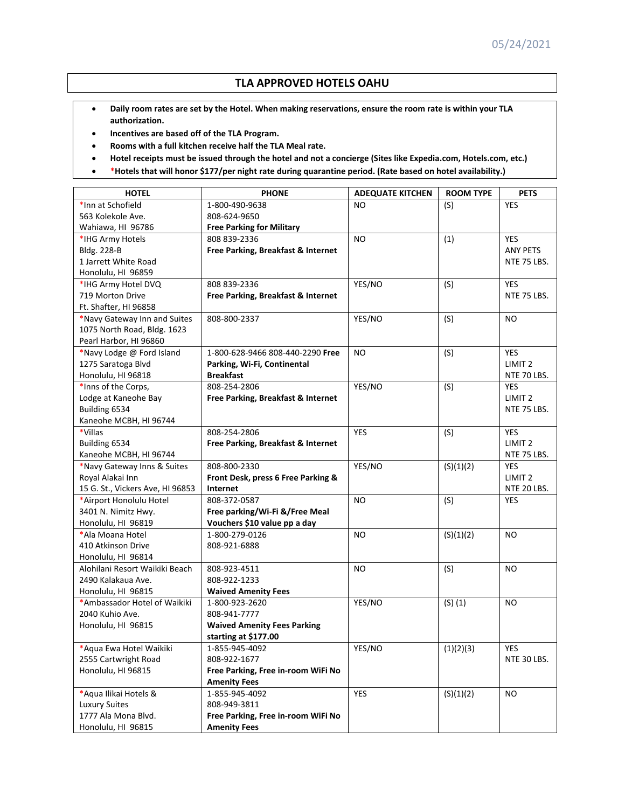## **TLA APPROVED HOTELS OAHU**

- Daily room rates are set by the Hotel. When making reservations, ensure the room rate is within your TLA **authorization.**
- **Incentives are based off of the TLA Program.**
- **Rooms with a full kitchen receive half the TLA Meal rate.**
- Hotel receipts must be issued through the hotel and not a concierge (Sites like Expedia.com, Hotels.com, etc.)
- **\*Hotels that will honor \$177/per night rate during quarantine period. (Rate based on hotel availability.)**

| <b>HOTEL</b>                     | <b>PHONE</b>                       | <b>ADEQUATE KITCHEN</b> | <b>ROOM TYPE</b> | <b>PETS</b>        |
|----------------------------------|------------------------------------|-------------------------|------------------|--------------------|
| *Inn at Schofield                | 1-800-490-9638                     | NO.                     | (S)              | <b>YES</b>         |
| 563 Kolekole Ave.                | 808-624-9650                       |                         |                  |                    |
| Wahiawa, HI 96786                | <b>Free Parking for Military</b>   |                         |                  |                    |
| *IHG Army Hotels                 | 808 839-2336                       | <b>NO</b>               | (1)              | <b>YES</b>         |
| Bldg. 228-B                      | Free Parking, Breakfast & Internet |                         |                  | ANY PETS           |
| 1 Jarrett White Road             |                                    |                         |                  | NTE 75 LBS.        |
| Honolulu, HI 96859               |                                    |                         |                  |                    |
| *IHG Army Hotel DVQ              | 808 839-2336                       | YES/NO                  | (S)              | <b>YES</b>         |
| 719 Morton Drive                 | Free Parking, Breakfast & Internet |                         |                  | NTE 75 LBS.        |
| Ft. Shafter, HI 96858            |                                    |                         |                  |                    |
| *Navy Gateway Inn and Suites     | 808-800-2337                       | YES/NO                  | (S)              | <b>NO</b>          |
| 1075 North Road, Bldg. 1623      |                                    |                         |                  |                    |
| Pearl Harbor, HI 96860           |                                    |                         |                  |                    |
| *Navy Lodge @ Ford Island        | 1-800-628-9466 808-440-2290 Free   | <b>NO</b>               | (S)              | <b>YES</b>         |
| 1275 Saratoga Blvd               | Parking, Wi-Fi, Continental        |                         |                  | LIMIT <sub>2</sub> |
| Honolulu, HI 96818               | <b>Breakfast</b>                   |                         |                  | NTE 70 LBS.        |
| *Inns of the Corps,              | 808-254-2806                       | YES/NO                  | (S)              | <b>YES</b>         |
| Lodge at Kaneohe Bay             | Free Parking, Breakfast & Internet |                         |                  | LIMIT <sub>2</sub> |
| Building 6534                    |                                    |                         |                  | NTE 75 LBS.        |
| Kaneohe MCBH, HI 96744           |                                    |                         |                  |                    |
| *Villas                          | 808-254-2806                       | <b>YES</b>              | (S)              | <b>YES</b>         |
| Building 6534                    | Free Parking, Breakfast & Internet |                         |                  | LIMIT <sub>2</sub> |
| Kaneohe MCBH, HI 96744           |                                    |                         |                  | NTE 75 LBS.        |
| *Navy Gateway Inns & Suites      | 808-800-2330                       | YES/NO                  | (S)(1)(2)        | <b>YES</b>         |
| Royal Alakai Inn                 | Front Desk, press 6 Free Parking & |                         |                  | LIMIT <sub>2</sub> |
| 15 G. St., Vickers Ave, HI 96853 | Internet                           |                         |                  | NTE 20 LBS.        |
| *Airport Honolulu Hotel          | 808-372-0587                       | <b>NO</b>               | (S)              | <b>YES</b>         |
| 3401 N. Nimitz Hwy.              | Free parking/Wi-Fi &/Free Meal     |                         |                  |                    |
| Honolulu, HI 96819               | Vouchers \$10 value pp a day       |                         |                  |                    |
| *Ala Moana Hotel                 | 1-800-279-0126                     | <b>NO</b>               | (S)(1)(2)        | <b>NO</b>          |
| 410 Atkinson Drive               | 808-921-6888                       |                         |                  |                    |
| Honolulu, HI 96814               |                                    |                         |                  |                    |
| Alohilani Resort Waikiki Beach   | 808-923-4511                       | N <sub>O</sub>          | (S)              | N <sub>O</sub>     |
| 2490 Kalakaua Ave.               | 808-922-1233                       |                         |                  |                    |
| Honolulu, HI 96815               | <b>Waived Amenity Fees</b>         |                         |                  |                    |
| *Ambassador Hotel of Waikiki     | 1-800-923-2620                     | YES/NO                  | $(S)$ $(1)$      | NO                 |
| 2040 Kuhio Ave.                  | 808-941-7777                       |                         |                  |                    |
| Honolulu, HI 96815               | <b>Waived Amenity Fees Parking</b> |                         |                  |                    |
|                                  | starting at \$177.00               |                         |                  |                    |
| *Aqua Ewa Hotel Waikiki          | 1-855-945-4092                     | YES/NO                  | (1)(2)(3)        | YES                |
| 2555 Cartwright Road             | 808-922-1677                       |                         |                  | NTE 30 LBS.        |
| Honolulu, HI 96815               | Free Parking, Free in-room WiFi No |                         |                  |                    |
|                                  | <b>Amenity Fees</b>                |                         |                  |                    |
| *Aqua Ilikai Hotels &            | 1-855-945-4092                     | <b>YES</b>              | (S)(1)(2)        | <b>NO</b>          |
| <b>Luxury Suites</b>             | 808-949-3811                       |                         |                  |                    |
| 1777 Ala Mona Blvd.              | Free Parking, Free in-room WiFi No |                         |                  |                    |
| Honolulu, HI 96815               | <b>Amenity Fees</b>                |                         |                  |                    |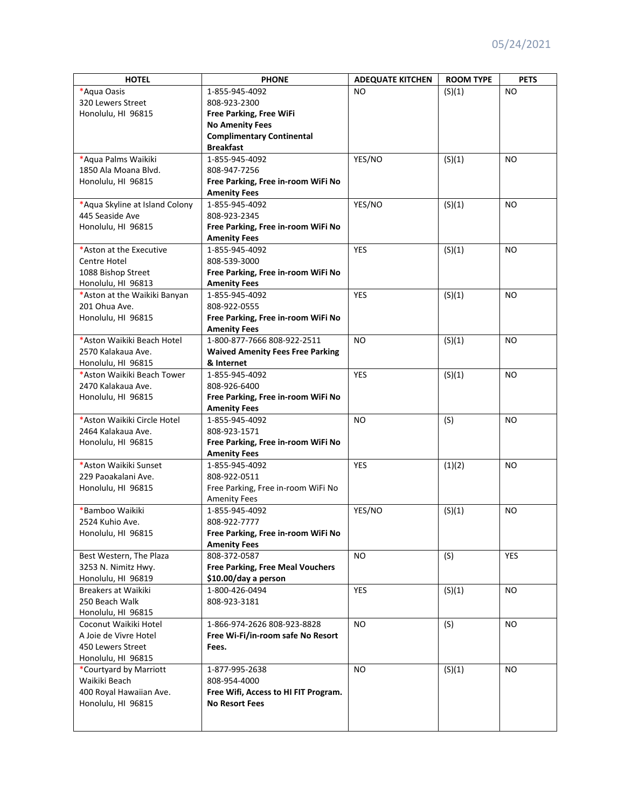| <b>HOTEL</b>                   | <b>PHONE</b>                            | <b>ADEQUATE KITCHEN</b> | <b>ROOM TYPE</b> | <b>PETS</b>    |
|--------------------------------|-----------------------------------------|-------------------------|------------------|----------------|
| *Aqua Oasis                    | 1-855-945-4092                          | N <sub>O</sub>          | (S)(1)           | NO.            |
| 320 Lewers Street              | 808-923-2300                            |                         |                  |                |
| Honolulu, HI 96815             | Free Parking, Free WiFi                 |                         |                  |                |
|                                | <b>No Amenity Fees</b>                  |                         |                  |                |
|                                | <b>Complimentary Continental</b>        |                         |                  |                |
|                                | <b>Breakfast</b>                        |                         |                  |                |
| *Aqua Palms Waikiki            | 1-855-945-4092                          | YES/NO                  | (S)(1)           | N <sub>O</sub> |
| 1850 Ala Moana Blvd.           | 808-947-7256                            |                         |                  |                |
| Honolulu, HI 96815             | Free Parking, Free in-room WiFi No      |                         |                  |                |
|                                | <b>Amenity Fees</b>                     |                         |                  |                |
| *Aqua Skyline at Island Colony | 1-855-945-4092                          | YES/NO                  | (S)(1)           | NO             |
| 445 Seaside Ave                |                                         |                         |                  |                |
|                                | 808-923-2345                            |                         |                  |                |
| Honolulu, HI 96815             | Free Parking, Free in-room WiFi No      |                         |                  |                |
| *Aston at the Executive        | <b>Amenity Fees</b>                     | <b>YES</b>              |                  |                |
|                                | 1-855-945-4092                          |                         | (S)(1)           | N <sub>O</sub> |
| Centre Hotel                   | 808-539-3000                            |                         |                  |                |
| 1088 Bishop Street             | Free Parking, Free in-room WiFi No      |                         |                  |                |
| Honolulu, HI 96813             | <b>Amenity Fees</b>                     |                         |                  |                |
| *Aston at the Waikiki Banyan   | 1-855-945-4092                          | <b>YES</b>              | (S)(1)           | <b>NO</b>      |
| 201 Ohua Ave.                  | 808-922-0555                            |                         |                  |                |
| Honolulu, HI 96815             | Free Parking, Free in-room WiFi No      |                         |                  |                |
|                                | <b>Amenity Fees</b>                     |                         |                  |                |
| *Aston Waikiki Beach Hotel     | 1-800-877-7666 808-922-2511             | N <sub>O</sub>          | (S)(1)           | NO.            |
| 2570 Kalakaua Ave.             | <b>Waived Amenity Fees Free Parking</b> |                         |                  |                |
| Honolulu, HI 96815             | & Internet                              |                         |                  |                |
| *Aston Waikiki Beach Tower     | 1-855-945-4092                          | <b>YES</b>              | (S)(1)           | NO             |
| 2470 Kalakaua Ave.             | 808-926-6400                            |                         |                  |                |
| Honolulu, HI 96815             | Free Parking, Free in-room WiFi No      |                         |                  |                |
|                                | <b>Amenity Fees</b>                     |                         |                  |                |
| *Aston Waikiki Circle Hotel    | 1-855-945-4092                          | <b>NO</b>               | (S)              | NO.            |
| 2464 Kalakaua Ave.             | 808-923-1571                            |                         |                  |                |
| Honolulu, HI 96815             | Free Parking, Free in-room WiFi No      |                         |                  |                |
|                                | <b>Amenity Fees</b>                     |                         |                  |                |
| *Aston Waikiki Sunset          | 1-855-945-4092                          | <b>YES</b>              | (1)(2)           | <b>NO</b>      |
| 229 Paoakalani Ave.            | 808-922-0511                            |                         |                  |                |
| Honolulu, HI 96815             | Free Parking, Free in-room WiFi No      |                         |                  |                |
|                                | <b>Amenity Fees</b>                     |                         |                  |                |
| *Bamboo Waikiki                | 1-855-945-4092                          | YES/NO                  | (S)(1)           | N <sub>O</sub> |
| 2524 Kuhio Ave.                | 808-922-7777                            |                         |                  |                |
| Honolulu, HI 96815             | Free Parking, Free in-room WiFi No      |                         |                  |                |
|                                | <b>Amenity Fees</b>                     |                         |                  |                |
| Best Western, The Plaza        | 808-372-0587                            | <b>NO</b>               | (S)              | <b>YES</b>     |
| 3253 N. Nimitz Hwy.            | <b>Free Parking, Free Meal Vouchers</b> |                         |                  |                |
| Honolulu, HI 96819             | \$10.00/day a person                    |                         |                  |                |
| Breakers at Waikiki            | 1-800-426-0494                          | <b>YES</b>              |                  | <b>NO</b>      |
| 250 Beach Walk                 | 808-923-3181                            |                         | (S)(1)           |                |
|                                |                                         |                         |                  |                |
| Honolulu, HI 96815             | 1-866-974-2626 808-923-8828             |                         |                  |                |
| Coconut Waikiki Hotel          |                                         | <b>NO</b>               | (S)              | NO.            |
| A Joie de Vivre Hotel          | Free Wi-Fi/in-room safe No Resort       |                         |                  |                |
| 450 Lewers Street              | Fees.                                   |                         |                  |                |
| Honolulu, HI 96815             |                                         |                         |                  |                |
| *Courtyard by Marriott         | 1-877-995-2638                          | NO.                     | (S)(1)           | NO.            |
| Waikiki Beach                  | 808-954-4000                            |                         |                  |                |
| 400 Royal Hawaiian Ave.        | Free Wifi, Access to HI FIT Program.    |                         |                  |                |
| Honolulu, HI 96815             | <b>No Resort Fees</b>                   |                         |                  |                |
|                                |                                         |                         |                  |                |
|                                |                                         |                         |                  |                |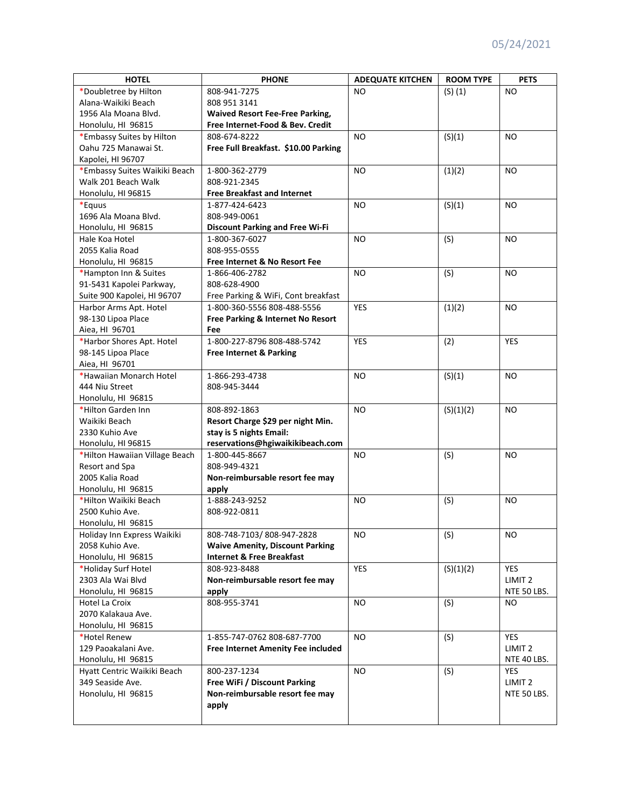| <b>HOTEL</b>                   | <b>PHONE</b>                           | <b>ADEQUATE KITCHEN</b> | <b>ROOM TYPE</b> | <b>PETS</b>        |
|--------------------------------|----------------------------------------|-------------------------|------------------|--------------------|
| *Doubletree by Hilton          | 808-941-7275                           | N <sub>O</sub>          | $(S)$ $(1)$      | NO.                |
| Alana-Waikiki Beach            | 808 951 3141                           |                         |                  |                    |
| 1956 Ala Moana Blvd.           | <b>Waived Resort Fee-Free Parking,</b> |                         |                  |                    |
| Honolulu, HI 96815             | Free Internet-Food & Bev. Credit       |                         |                  |                    |
| *Embassy Suites by Hilton      | 808-674-8222                           | <b>NO</b>               | (S)(1)           | N <sub>O</sub>     |
| Oahu 725 Manawai St.           | Free Full Breakfast. \$10.00 Parking   |                         |                  |                    |
| Kapolei, HI 96707              |                                        |                         |                  |                    |
| *Embassy Suites Waikiki Beach  | 1-800-362-2779                         | N <sub>O</sub>          | (1)(2)           | N <sub>O</sub>     |
| Walk 201 Beach Walk            | 808-921-2345                           |                         |                  |                    |
| Honolulu, HI 96815             | <b>Free Breakfast and Internet</b>     |                         |                  |                    |
| *Equus                         | 1-877-424-6423                         | <b>NO</b>               | (S)(1)           | NO.                |
| 1696 Ala Moana Blvd.           | 808-949-0061                           |                         |                  |                    |
| Honolulu, HI 96815             | <b>Discount Parking and Free Wi-Fi</b> |                         |                  |                    |
| Hale Koa Hotel                 | 1-800-367-6027                         | <b>NO</b>               | (S)              | NO                 |
| 2055 Kalia Road                | 808-955-0555                           |                         |                  |                    |
|                                |                                        |                         |                  |                    |
| Honolulu, HI 96815             | Free Internet & No Resort Fee          |                         |                  |                    |
| *Hampton Inn & Suites          | 1-866-406-2782                         | N <sub>O</sub>          | (S)              | N <sub>O</sub>     |
| 91-5431 Kapolei Parkway,       | 808-628-4900                           |                         |                  |                    |
| Suite 900 Kapolei, HI 96707    | Free Parking & WiFi, Cont breakfast    |                         |                  |                    |
| Harbor Arms Apt. Hotel         | 1-800-360-5556 808-488-5556            | <b>YES</b>              | (1)(2)           | <b>NO</b>          |
| 98-130 Lipoa Place             | Free Parking & Internet No Resort      |                         |                  |                    |
| Aiea, HI 96701                 | Fee                                    |                         |                  |                    |
| *Harbor Shores Apt. Hotel      | 1-800-227-8796 808-488-5742            | <b>YES</b>              | (2)              | <b>YES</b>         |
| 98-145 Lipoa Place             | Free Internet & Parking                |                         |                  |                    |
| Aiea, HI 96701                 |                                        |                         |                  |                    |
| *Hawaiian Monarch Hotel        | 1-866-293-4738                         | <b>NO</b>               | (S)(1)           | NO.                |
| 444 Niu Street                 | 808-945-3444                           |                         |                  |                    |
| Honolulu, HI 96815             |                                        |                         |                  |                    |
| *Hilton Garden Inn             | 808-892-1863                           | N <sub>O</sub>          | (S)(1)(2)        | N <sub>O</sub>     |
| Waikiki Beach                  | Resort Charge \$29 per night Min.      |                         |                  |                    |
| 2330 Kuhio Ave                 | stay is 5 nights Email:                |                         |                  |                    |
| Honolulu, HI 96815             | reservations@hgiwaikikibeach.com       |                         |                  |                    |
| *Hilton Hawaiian Village Beach | 1-800-445-8667                         | <b>NO</b>               | (S)              | NO.                |
| Resort and Spa                 | 808-949-4321                           |                         |                  |                    |
| 2005 Kalia Road                | Non-reimbursable resort fee may        |                         |                  |                    |
| Honolulu, HI 96815             | apply                                  |                         |                  |                    |
| *Hilton Waikiki Beach          | 1-888-243-9252                         | <b>NO</b>               | (S)              | <b>NO</b>          |
| 2500 Kuhio Ave.                | 808-922-0811                           |                         |                  |                    |
| Honolulu, HI 96815             |                                        |                         |                  |                    |
| Holiday Inn Express Waikiki    | 808-748-7103/808-947-2828              | NO.                     | (S)              | NO.                |
| 2058 Kuhio Ave.                | <b>Waive Amenity, Discount Parking</b> |                         |                  |                    |
| Honolulu, HI 96815             | <b>Internet &amp; Free Breakfast</b>   |                         |                  |                    |
| *Holiday Surf Hotel            | 808-923-8488                           | <b>YES</b>              | (S)(1)(2)        | <b>YES</b>         |
| 2303 Ala Wai Blvd              | Non-reimbursable resort fee may        |                         |                  | LIMIT <sub>2</sub> |
| Honolulu, HI 96815             | apply                                  |                         |                  | NTE 50 LBS.        |
| Hotel La Croix                 | 808-955-3741                           | <b>NO</b>               | (S)              | NO                 |
| 2070 Kalakaua Ave.             |                                        |                         |                  |                    |
| Honolulu, HI 96815             |                                        |                         |                  |                    |
| *Hotel Renew                   | 1-855-747-0762 808-687-7700            | <b>NO</b>               | (S)              | <b>YES</b>         |
| 129 Paoakalani Ave.            | Free Internet Amenity Fee included     |                         |                  | LIMIT <sub>2</sub> |
| Honolulu, HI 96815             |                                        |                         |                  | NTE 40 LBS.        |
| Hyatt Centric Waikiki Beach    | 800-237-1234                           | <b>NO</b>               | (S)              | <b>YES</b>         |
| 349 Seaside Ave.               | Free WiFi / Discount Parking           |                         |                  | LIMIT <sub>2</sub> |
| Honolulu, HI 96815             | Non-reimbursable resort fee may        |                         |                  | NTE 50 LBS.        |
|                                | apply                                  |                         |                  |                    |
|                                |                                        |                         |                  |                    |
|                                |                                        |                         |                  |                    |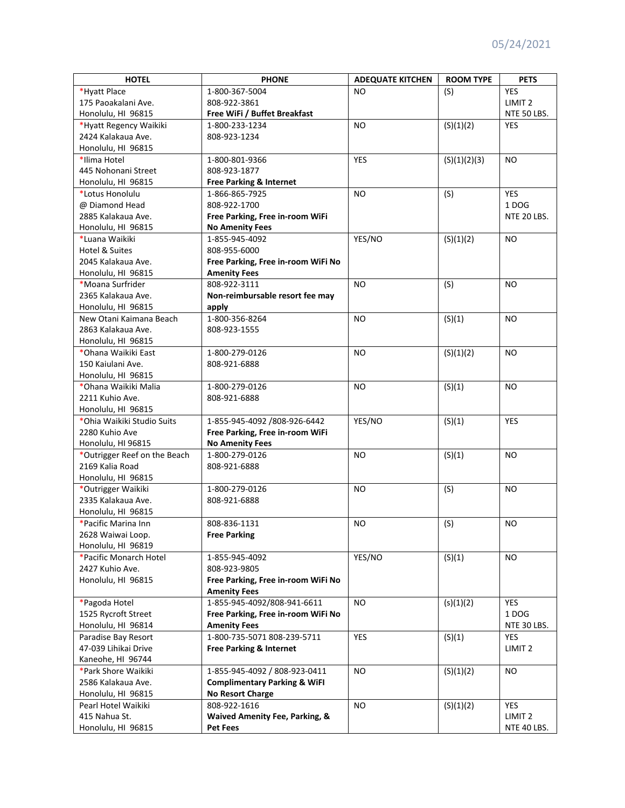| <b>HOTEL</b>                                  | <b>PHONE</b>                            | <b>ADEQUATE KITCHEN</b> | <b>ROOM TYPE</b> | <b>PETS</b>        |
|-----------------------------------------------|-----------------------------------------|-------------------------|------------------|--------------------|
| *Hyatt Place                                  | 1-800-367-5004                          | NO.                     | (S)              | <b>YES</b>         |
| 175 Paoakalani Ave.                           | 808-922-3861                            |                         |                  | LIMIT <sub>2</sub> |
| Honolulu, HI 96815                            | Free WiFi / Buffet Breakfast            |                         |                  | NTE 50 LBS.        |
| *Hyatt Regency Waikiki                        | 1-800-233-1234                          | <b>NO</b>               | (S)(1)(2)        | YES                |
| 2424 Kalakaua Ave.                            | 808-923-1234                            |                         |                  |                    |
| Honolulu, HI 96815                            |                                         |                         |                  |                    |
| *Ilima Hotel                                  | 1-800-801-9366                          | <b>YES</b>              | (S)(1)(2)(3)     | <b>NO</b>          |
| 445 Nohonani Street                           | 808-923-1877                            |                         |                  |                    |
| Honolulu, HI 96815                            | Free Parking & Internet                 |                         |                  |                    |
| *Lotus Honolulu                               | 1-866-865-7925                          | <b>NO</b>               | (S)              | <b>YES</b>         |
| @ Diamond Head                                | 808-922-1700                            |                         |                  | 1 DOG              |
| 2885 Kalakaua Ave.                            | Free Parking, Free in-room WiFi         |                         |                  | NTE 20 LBS.        |
| Honolulu, HI 96815                            | <b>No Amenity Fees</b>                  |                         |                  |                    |
| *Luana Waikiki                                | 1-855-945-4092                          | YES/NO                  | (S)(1)(2)        | <b>NO</b>          |
| Hotel & Suites                                | 808-955-6000                            |                         |                  |                    |
| 2045 Kalakaua Ave.                            | Free Parking, Free in-room WiFi No      |                         |                  |                    |
| Honolulu, HI 96815                            | <b>Amenity Fees</b>                     |                         |                  |                    |
| *Moana Surfrider                              | 808-922-3111                            | <b>NO</b>               | (S)              | <b>NO</b>          |
| 2365 Kalakaua Ave.                            | Non-reimbursable resort fee may         |                         |                  |                    |
| Honolulu, HI 96815                            |                                         |                         |                  |                    |
|                                               | apply                                   |                         |                  |                    |
| New Otani Kaimana Beach<br>2863 Kalakaua Ave. | 1-800-356-8264                          | <b>NO</b>               | (S)(1)           | <b>NO</b>          |
|                                               | 808-923-1555                            |                         |                  |                    |
| Honolulu, HI 96815                            |                                         |                         |                  |                    |
| *Ohana Waikiki East                           | 1-800-279-0126                          | <b>NO</b>               | (S)(1)(2)        | <b>NO</b>          |
| 150 Kaiulani Ave.                             | 808-921-6888                            |                         |                  |                    |
| Honolulu, HI 96815                            |                                         |                         |                  |                    |
| *Ohana Waikiki Malia                          | 1-800-279-0126                          | <b>NO</b>               | (S)(1)           | <b>NO</b>          |
| 2211 Kuhio Ave.                               | 808-921-6888                            |                         |                  |                    |
| Honolulu, HI 96815                            |                                         |                         |                  |                    |
| *Ohia Waikiki Studio Suits                    | 1-855-945-4092 /808-926-6442            | YES/NO                  | (S)(1)           | <b>YES</b>         |
| 2280 Kuhio Ave                                | Free Parking, Free in-room WiFi         |                         |                  |                    |
| Honolulu, HI 96815                            | <b>No Amenity Fees</b>                  |                         |                  |                    |
| *Outrigger Reef on the Beach                  | 1-800-279-0126                          | <b>NO</b>               | (S)(1)           | <b>NO</b>          |
| 2169 Kalia Road                               | 808-921-6888                            |                         |                  |                    |
| Honolulu, HI 96815                            |                                         |                         |                  |                    |
| *Outrigger Waikiki                            | 1-800-279-0126                          | <b>NO</b>               | (S)              | <b>NO</b>          |
| 2335 Kalakaua Ave.                            | 808-921-6888                            |                         |                  |                    |
| Honolulu, HI 96815                            |                                         |                         |                  |                    |
| *Pacific Marina Inn                           | 808-836-1131                            | NO.                     | (S)              | <b>NO</b>          |
| 2628 Waiwai Loop.                             | <b>Free Parking</b>                     |                         |                  |                    |
| Honolulu, HI 96819                            |                                         |                         |                  |                    |
| *Pacific Monarch Hotel                        | 1-855-945-4092                          | YES/NO                  | (S)(1)           | NO.                |
| 2427 Kuhio Ave.                               | 808-923-9805                            |                         |                  |                    |
| Honolulu, HI 96815                            | Free Parking, Free in-room WiFi No      |                         |                  |                    |
|                                               | <b>Amenity Fees</b>                     |                         |                  |                    |
| *Pagoda Hotel                                 | 1-855-945-4092/808-941-6611             | <b>NO</b>               | (s)(1)(2)        | <b>YES</b>         |
| 1525 Rycroft Street                           | Free Parking, Free in-room WiFi No      |                         |                  | 1 DOG              |
| Honolulu, HI 96814                            | <b>Amenity Fees</b>                     |                         |                  | NTE 30 LBS.        |
| Paradise Bay Resort                           | 1-800-735-5071 808-239-5711             | <b>YES</b>              | (S)(1)           | <b>YES</b>         |
| 47-039 Lihikai Drive                          | <b>Free Parking &amp; Internet</b>      |                         |                  | LIMIT <sub>2</sub> |
| Kaneohe, HI 96744                             |                                         |                         |                  |                    |
| *Park Shore Waikiki                           | 1-855-945-4092 / 808-923-0411           | <b>NO</b>               | (S)(1)(2)        | <b>NO</b>          |
| 2586 Kalakaua Ave.                            | <b>Complimentary Parking &amp; WiFI</b> |                         |                  |                    |
| Honolulu, HI 96815                            | <b>No Resort Charge</b>                 |                         |                  |                    |
| Pearl Hotel Waikiki                           | 808-922-1616                            | NO.                     | (S)(1)(2)        | <b>YES</b>         |
| 415 Nahua St.                                 | Waived Amenity Fee, Parking, &          |                         |                  | LIMIT <sub>2</sub> |
| Honolulu, HI 96815                            | <b>Pet Fees</b>                         |                         |                  | NTE 40 LBS.        |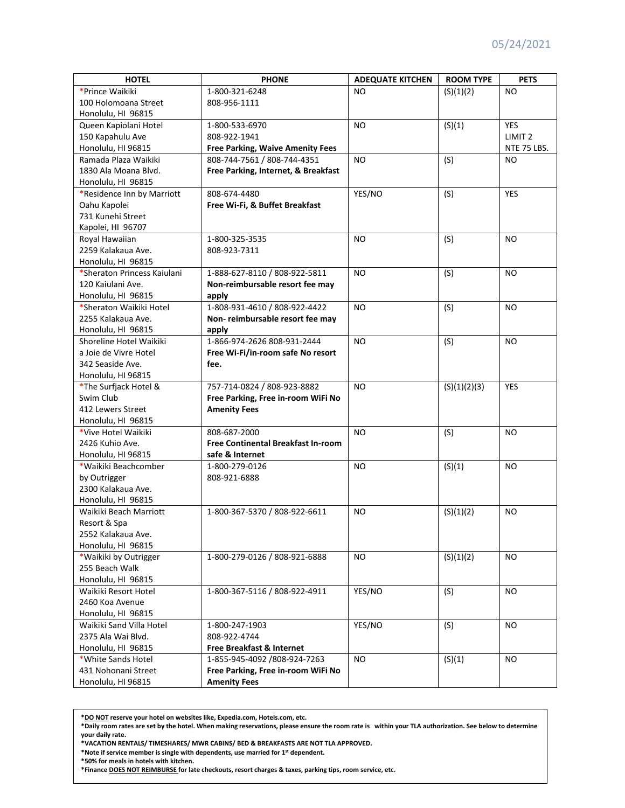| <b>HOTEL</b>                | <b>PHONE</b>                              | <b>ADEQUATE KITCHEN</b> | <b>ROOM TYPE</b> | <b>PETS</b>        |
|-----------------------------|-------------------------------------------|-------------------------|------------------|--------------------|
| *Prince Waikiki             | 1-800-321-6248                            | NO.                     | (S)(1)(2)        | NO                 |
| 100 Holomoana Street        | 808-956-1111                              |                         |                  |                    |
| Honolulu, HI 96815          |                                           |                         |                  |                    |
| Queen Kapiolani Hotel       | 1-800-533-6970                            | N <sub>O</sub>          | (S)(1)           | <b>YES</b>         |
| 150 Kapahulu Ave            | 808-922-1941                              |                         |                  | LIMIT <sub>2</sub> |
| Honolulu, HI 96815          | <b>Free Parking, Waive Amenity Fees</b>   |                         |                  | NTE 75 LBS.        |
| Ramada Plaza Waikiki        | 808-744-7561 / 808-744-4351               | <b>NO</b>               | (S)              | NO.                |
| 1830 Ala Moana Blvd.        | Free Parking, Internet, & Breakfast       |                         |                  |                    |
| Honolulu, HI 96815          |                                           |                         |                  |                    |
| *Residence Inn by Marriott  | 808-674-4480                              | YES/NO                  | (S)              | <b>YES</b>         |
| Oahu Kapolei                | Free Wi-Fi, & Buffet Breakfast            |                         |                  |                    |
| 731 Kunehi Street           |                                           |                         |                  |                    |
| Kapolei, HI 96707           |                                           |                         |                  |                    |
| Royal Hawaiian              | 1-800-325-3535                            | <b>NO</b>               | (S)              | <b>NO</b>          |
| 2259 Kalakaua Ave.          | 808-923-7311                              |                         |                  |                    |
| Honolulu, HI 96815          |                                           |                         |                  |                    |
| *Sheraton Princess Kaiulani | 1-888-627-8110 / 808-922-5811             | N <sub>O</sub>          | (S)              | NO.                |
| 120 Kaiulani Ave.           | Non-reimbursable resort fee may           |                         |                  |                    |
| Honolulu, HI 96815          | apply                                     |                         |                  |                    |
| *Sheraton Waikiki Hotel     | 1-808-931-4610 / 808-922-4422             | N <sub>O</sub>          | (S)              | N <sub>O</sub>     |
| 2255 Kalakaua Ave.          | Non-reimbursable resort fee may           |                         |                  |                    |
| Honolulu, HI 96815          | apply                                     |                         |                  |                    |
| Shoreline Hotel Waikiki     | 1-866-974-2626 808-931-2444               | <b>NO</b>               | (S)              | NO.                |
| a Joie de Vivre Hotel       | Free Wi-Fi/in-room safe No resort         |                         |                  |                    |
| 342 Seaside Ave.            | fee.                                      |                         |                  |                    |
| Honolulu, HI 96815          |                                           |                         |                  |                    |
| *The Surfjack Hotel &       | 757-714-0824 / 808-923-8882               | N <sub>O</sub>          | (S)(1)(2)(3)     | <b>YES</b>         |
| Swim Club                   | Free Parking, Free in-room WiFi No        |                         |                  |                    |
| 412 Lewers Street           | <b>Amenity Fees</b>                       |                         |                  |                    |
| Honolulu, HI 96815          |                                           |                         |                  |                    |
| *Vive Hotel Waikiki         | 808-687-2000                              | <b>NO</b>               | (S)              | N <sub>O</sub>     |
| 2426 Kuhio Ave.             | <b>Free Continental Breakfast In-room</b> |                         |                  |                    |
| Honolulu, HI 96815          | safe & Internet                           |                         |                  |                    |
| *Waikiki Beachcomber        | 1-800-279-0126                            | NO                      | (S)(1)           | N <sub>O</sub>     |
| by Outrigger                | 808-921-6888                              |                         |                  |                    |
| 2300 Kalakaua Ave.          |                                           |                         |                  |                    |
| Honolulu, HI 96815          |                                           |                         |                  |                    |
| Waikiki Beach Marriott      | 1-800-367-5370 / 808-922-6611             | <b>NO</b>               | (S)(1)(2)        | <b>NO</b>          |
| Resort & Spa                |                                           |                         |                  |                    |
| 2552 Kalakaua Ave.          |                                           |                         |                  |                    |
| Honolulu, HI 96815          |                                           |                         |                  |                    |
| *Waikiki by Outrigger       | 1-800-279-0126 / 808-921-6888             | NO.                     | (S)(1)(2)        | <b>NO</b>          |
| 255 Beach Walk              |                                           |                         |                  |                    |
| Honolulu, HI 96815          |                                           |                         |                  |                    |
| Waikiki Resort Hotel        | 1-800-367-5116 / 808-922-4911             | YES/NO                  | (S)              | <b>NO</b>          |
| 2460 Koa Avenue             |                                           |                         |                  |                    |
| Honolulu, HI 96815          |                                           |                         |                  |                    |
| Waikiki Sand Villa Hotel    | 1-800-247-1903                            | YES/NO                  | (S)              | NO.                |
| 2375 Ala Wai Blvd.          | 808-922-4744                              |                         |                  |                    |
| Honolulu, HI 96815          | Free Breakfast & Internet                 |                         |                  |                    |
| *White Sands Hotel          | 1-855-945-4092 /808-924-7263              | <b>NO</b>               | (S)(1)           | <b>NO</b>          |
| 431 Nohonani Street         | Free Parking, Free in-room WiFi No        |                         |                  |                    |
| Honolulu, HI 96815          | <b>Amenity Fees</b>                       |                         |                  |                    |

**<sup>\*</sup>DO NOT reserve your hotel on websites like, Expedia.com, Hotels.com, etc.**

\*Daily room rates are set by the hotel. When making reservations, please ensure the room rate is within your TLA authorization. See below to determine **your daily rate.**

**\*VACATION RENTALS/ TIMESHARES/ MWR CABINS/ BED & BREAKFASTS ARE NOT TLA APPROVED.**

**\*Note if service member is single with dependents, use married for 1st dependent.**

**\*50% for meals in hotels with kitchen.**

**\*Finance DOES NOT REIMBURSE for late checkouts, resort charges & taxes, parking tips, room service, etc.**